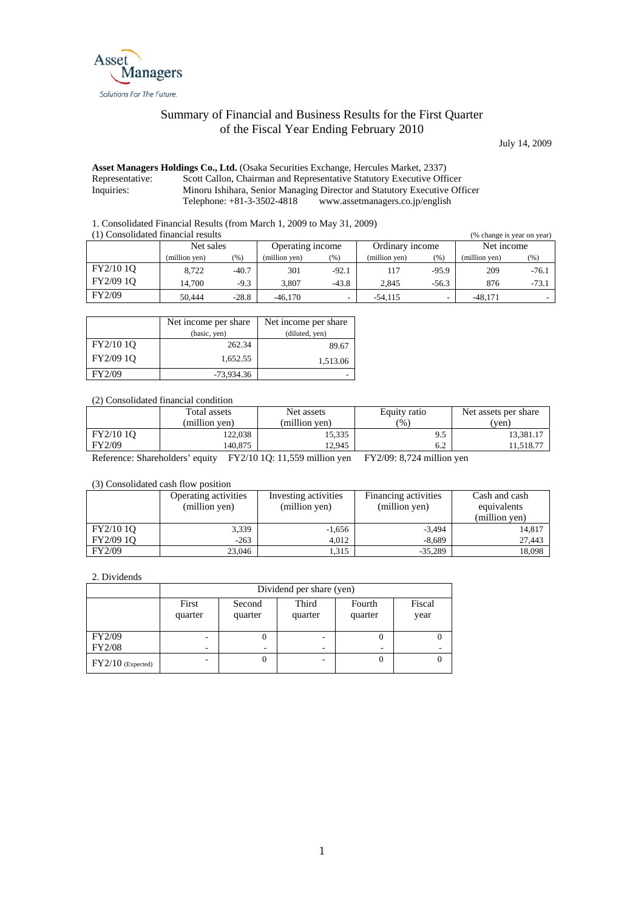

## Summary of Financial and Business Results for the First Quarter of the Fiscal Year Ending February 2010

July 14, 2009

## **Asset Managers Holdings Co., Ltd.** (Osaka Securities Exchange, Hercules Market, 2337) Representative: Scott Callon, Chairman and Representative Statutory Executive Officer Inquiries: Minoru Ishihara, Senior Managing Director and Statutory Executive Off Minoru Ishihara, Senior Managing Director and Statutory Executive Officer<br>Telephone: +81-3-3502-4818 www.assetmanagers.co.jp/english www.assetmanagers.co.jp/english

1. Consolidated Financial Results (from March 1, 2009 to May 31, 2009)

| (1) Consolidated financial results<br>(% change is year on year) |               |         |                  |         |                 |         |               |         |
|------------------------------------------------------------------|---------------|---------|------------------|---------|-----------------|---------|---------------|---------|
|                                                                  | Net sales     |         | Operating income |         | Ordinary income |         | Net income    |         |
|                                                                  | (million yen) | $(\% )$ | (million yen)    | (%)     | (million yen)   | (% )    | (million yen) | (96)    |
| FY2/10 10                                                        | 8.722         | $-40.7$ | 301              | $-92.1$ | 117             | $-95.9$ | 209           | $-76.1$ |
| FY2/09 10                                                        | 14.700        | $-9.3$  | 3.807            | $-43.8$ | 2.845           | $-56.3$ | 876           | $-73.1$ |
| FY2/09                                                           | 50.444        | $-28.8$ | $-46,170$        |         | $-54.115$       | -       | $-48.171$     |         |

|           | Net income per share | Net income per share |
|-----------|----------------------|----------------------|
|           | (basic, yen)         | (diluted, yen)       |
| FY2/10 10 | 262.34               | 89.67                |
| FY2/09 1Q | 1,652.55             | 1,513.06             |
| FY2/09    | $-73.934.36$         |                      |

(2) Consolidated financial condition

|           | Total assets<br>(million ven) | Net assets<br>(million ven) | Equity ratio<br>$\frac{1}{2}$ | Net assets per share<br>(ven) |
|-----------|-------------------------------|-----------------------------|-------------------------------|-------------------------------|
| FY2/10 10 | 122.038                       | 15,335                      | 9.5                           | 13.381.17                     |
| FY2/09    | 40.875،                       | 12.945                      | 6.2                           | 11.518.77                     |

Reference: Shareholders' equity FY2/10 1Q: 11,559 million yen FY2/09: 8,724 million yen

(3) Consolidated cash flow position

|           | Operating activities<br>(million yen) | Investing activities<br>(million yen) | Financing activities<br>(million yen) | Cash and cash<br>equivalents<br>(million yen) |
|-----------|---------------------------------------|---------------------------------------|---------------------------------------|-----------------------------------------------|
| FY2/10 10 | 3,339                                 | $-1,656$                              | $-3,494$                              | 14,817                                        |
| FY2/09 1Q | $-263$                                | 4.012                                 | $-8.689$                              | 27,443                                        |
| FY2/09    | 23,046                                | 1,315                                 | $-35.289$                             | 18,098                                        |

2. Dividends

|                     | Dividend per share (yen) |                   |                  |                   |                |  |
|---------------------|--------------------------|-------------------|------------------|-------------------|----------------|--|
|                     | First<br>quarter         | Second<br>quarter | Third<br>quarter | Fourth<br>quarter | Fiscal<br>year |  |
| <b>FY2/09</b>       |                          | υ                 | ۰                | U                 |                |  |
| <b>FY2/08</b>       | $\overline{\phantom{a}}$ | ٠                 | -                | ۰                 |                |  |
| $FY2/10$ (Expected) |                          | 0                 | -                | 0                 |                |  |